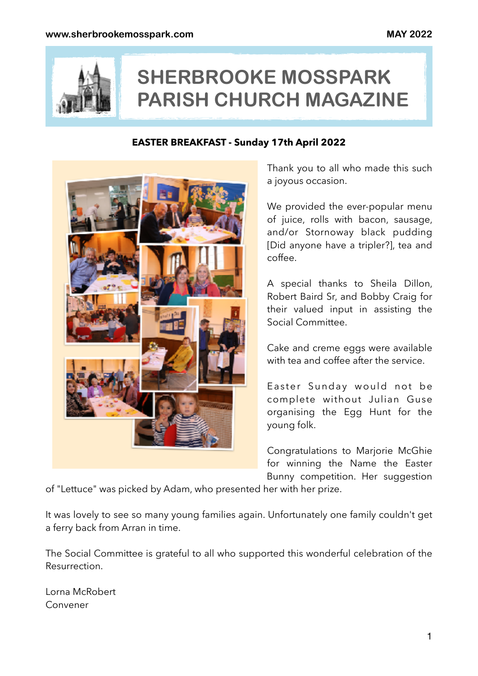

# **SHERBROOKE MOSSPARK PARISH CHURCH MAGAZINE**

#### **EASTER BREAKFAST - Sunday 17th April 2022**



Thank you to all who made this such a joyous occasion.

We provided the ever-popular menu of juice, rolls with bacon, sausage, and/or Stornoway black pudding [Did anyone have a tripler?], tea and coffee.

A special thanks to Sheila Dillon, Robert Baird Sr, and Bobby Craig for their valued input in assisting the Social Committee.

Cake and creme eggs were available with tea and coffee after the service.

Easter Sunday would not be complete without Julian Guse organising the Egg Hunt for the young folk.

Congratulations to Marjorie McGhie for winning the Name the Easter Bunny competition. Her suggestion

of "Lettuce" was picked by Adam, who presented her with her prize.

It was lovely to see so many young families again. Unfortunately one family couldn't get a ferry back from Arran in time.

The Social Committee is grateful to all who supported this wonderful celebration of the Resurrection.

Lorna McRobert Convener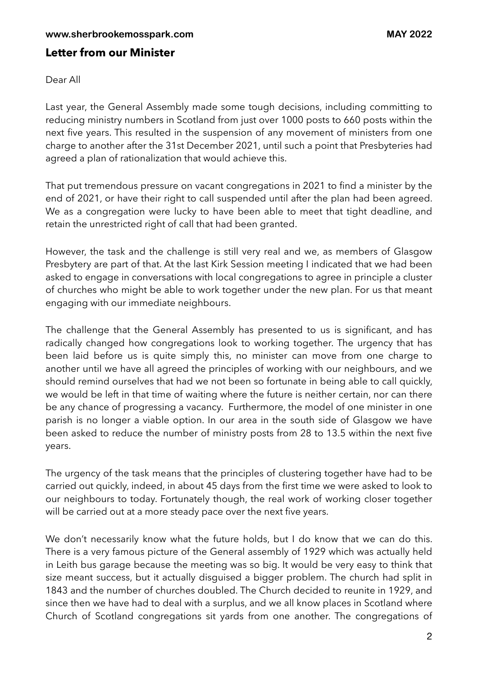#### **Letter from our Minister**

Dear All

Last year, the General Assembly made some tough decisions, including committing to reducing ministry numbers in Scotland from just over 1000 posts to 660 posts within the next five years. This resulted in the suspension of any movement of ministers from one charge to another after the 31st December 2021, until such a point that Presbyteries had agreed a plan of rationalization that would achieve this.

That put tremendous pressure on vacant congregations in 2021 to find a minister by the end of 2021, or have their right to call suspended until after the plan had been agreed. We as a congregation were lucky to have been able to meet that tight deadline, and retain the unrestricted right of call that had been granted.

However, the task and the challenge is still very real and we, as members of Glasgow Presbytery are part of that. At the last Kirk Session meeting I indicated that we had been asked to engage in conversations with local congregations to agree in principle a cluster of churches who might be able to work together under the new plan. For us that meant engaging with our immediate neighbours.

The challenge that the General Assembly has presented to us is significant, and has radically changed how congregations look to working together. The urgency that has been laid before us is quite simply this, no minister can move from one charge to another until we have all agreed the principles of working with our neighbours, and we should remind ourselves that had we not been so fortunate in being able to call quickly, we would be left in that time of waiting where the future is neither certain, nor can there be any chance of progressing a vacancy. Furthermore, the model of one minister in one parish is no longer a viable option. In our area in the south side of Glasgow we have been asked to reduce the number of ministry posts from 28 to 13.5 within the next five years.

The urgency of the task means that the principles of clustering together have had to be carried out quickly, indeed, in about 45 days from the first time we were asked to look to our neighbours to today. Fortunately though, the real work of working closer together will be carried out at a more steady pace over the next five years.

We don't necessarily know what the future holds, but I do know that we can do this. There is a very famous picture of the General assembly of 1929 which was actually held in Leith bus garage because the meeting was so big. It would be very easy to think that size meant success, but it actually disguised a bigger problem. The church had split in 1843 and the number of churches doubled. The Church decided to reunite in 1929, and since then we have had to deal with a surplus, and we all know places in Scotland where Church of Scotland congregations sit yards from one another. The congregations of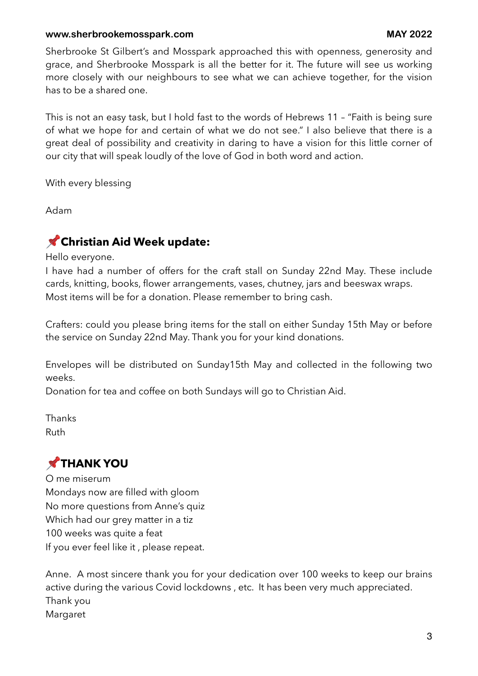#### **www.sherbrookemosspark.com MAY 2022**

Sherbrooke St Gilbert's and Mosspark approached this with openness, generosity and grace, and Sherbrooke Mosspark is all the better for it. The future will see us working more closely with our neighbours to see what we can achieve together, for the vision has to be a shared one.

This is not an easy task, but I hold fast to the words of Hebrews 11 – "Faith is being sure of what we hope for and certain of what we do not see." I also believe that there is a great deal of possibility and creativity in daring to have a vision for this little corner of our city that will speak loudly of the love of God in both word and action.

With every blessing

Adam

#### **Christian Aid Week update:**

Hello everyone.

I have had a number of offers for the craft stall on Sunday 22nd May. These include cards, knitting, books, flower arrangements, vases, chutney, jars and beeswax wraps. Most items will be for a donation. Please remember to bring cash.

Crafters: could you please bring items for the stall on either Sunday 15th May or before the service on Sunday 22nd May. Thank you for your kind donations.

Envelopes will be distributed on Sunday15th May and collected in the following two weeks.

Donation for tea and coffee on both Sundays will go to Christian Aid.

Thanks Ruth

# **THANK YOU**

O me miserum Mondays now are filled with gloom No more questions from Anne's quiz Which had our grey matter in a tiz 100 weeks was quite a feat If you ever feel like it , please repeat.

Anne. A most sincere thank you for your dedication over 100 weeks to keep our brains active during the various Covid lockdowns , etc. It has been very much appreciated. Thank you Margaret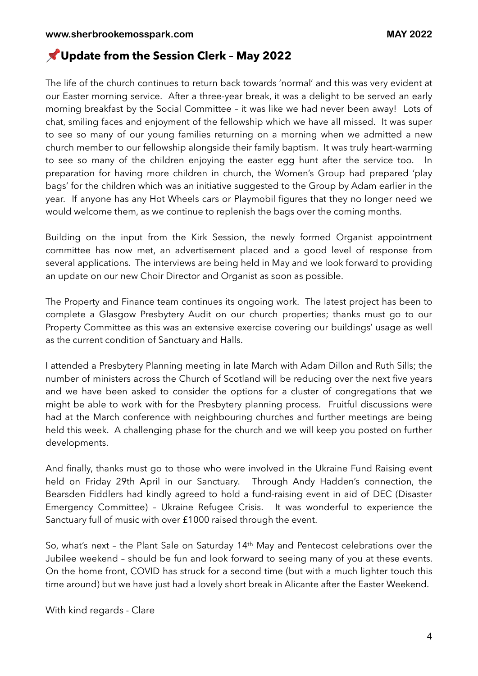#### **Update from the Session Clerk – May 2022**

The life of the church continues to return back towards 'normal' and this was very evident at our Easter morning service. After a three-year break, it was a delight to be served an early morning breakfast by the Social Committee – it was like we had never been away! Lots of chat, smiling faces and enjoyment of the fellowship which we have all missed. It was super to see so many of our young families returning on a morning when we admitted a new church member to our fellowship alongside their family baptism. It was truly heart-warming to see so many of the children enjoying the easter egg hunt after the service too. In preparation for having more children in church, the Women's Group had prepared 'play bags' for the children which was an initiative suggested to the Group by Adam earlier in the year. If anyone has any Hot Wheels cars or Playmobil figures that they no longer need we would welcome them, as we continue to replenish the bags over the coming months.

Building on the input from the Kirk Session, the newly formed Organist appointment committee has now met, an advertisement placed and a good level of response from several applications. The interviews are being held in May and we look forward to providing an update on our new Choir Director and Organist as soon as possible.

The Property and Finance team continues its ongoing work. The latest project has been to complete a Glasgow Presbytery Audit on our church properties; thanks must go to our Property Committee as this was an extensive exercise covering our buildings' usage as well as the current condition of Sanctuary and Halls.

I attended a Presbytery Planning meeting in late March with Adam Dillon and Ruth Sills; the number of ministers across the Church of Scotland will be reducing over the next five years and we have been asked to consider the options for a cluster of congregations that we might be able to work with for the Presbytery planning process. Fruitful discussions were had at the March conference with neighbouring churches and further meetings are being held this week. A challenging phase for the church and we will keep you posted on further developments.

And finally, thanks must go to those who were involved in the Ukraine Fund Raising event held on Friday 29th April in our Sanctuary. Through Andy Hadden's connection, the Bearsden Fiddlers had kindly agreed to hold a fund-raising event in aid of DEC (Disaster Emergency Committee) – Ukraine Refugee Crisis. It was wonderful to experience the Sanctuary full of music with over £1000 raised through the event.

So, what's next – the Plant Sale on Saturday 14th May and Pentecost celebrations over the Jubilee weekend – should be fun and look forward to seeing many of you at these events. On the home front, COVID has struck for a second time (but with a much lighter touch this time around) but we have just had a lovely short break in Alicante after the Easter Weekend.

With kind regards - Clare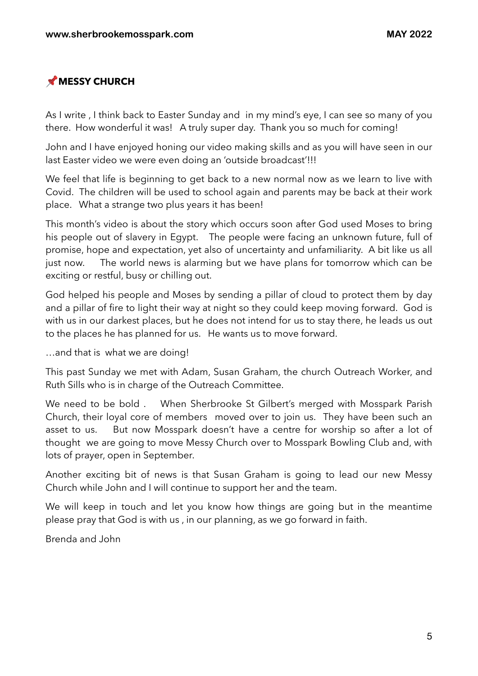# **MESSY CHURCH**

As I write , I think back to Easter Sunday and in my mind's eye, I can see so many of you there. How wonderful it was! A truly super day. Thank you so much for coming!

John and I have enjoyed honing our video making skills and as you will have seen in our last Easter video we were even doing an 'outside broadcast'!!!

We feel that life is beginning to get back to a new normal now as we learn to live with Covid. The children will be used to school again and parents may be back at their work place. What a strange two plus years it has been!

This month's video is about the story which occurs soon after God used Moses to bring his people out of slavery in Egypt. The people were facing an unknown future, full of promise, hope and expectation, yet also of uncertainty and unfamiliarity. A bit like us all just now. The world news is alarming but we have plans for tomorrow which can be exciting or restful, busy or chilling out.

God helped his people and Moses by sending a pillar of cloud to protect them by day and a pillar of fire to light their way at night so they could keep moving forward. God is with us in our darkest places, but he does not intend for us to stay there, he leads us out to the places he has planned for us. He wants us to move forward.

…and that is what we are doing!

This past Sunday we met with Adam, Susan Graham, the church Outreach Worker, and Ruth Sills who is in charge of the Outreach Committee.

We need to be bold . When Sherbrooke St Gilbert's merged with Mosspark Parish Church, their loyal core of members moved over to join us. They have been such an asset to us. But now Mosspark doesn't have a centre for worship so after a lot of thought we are going to move Messy Church over to Mosspark Bowling Club and, with lots of prayer, open in September.

Another exciting bit of news is that Susan Graham is going to lead our new Messy Church while John and I will continue to support her and the team.

We will keep in touch and let you know how things are going but in the meantime please pray that God is with us , in our planning, as we go forward in faith.

Brenda and John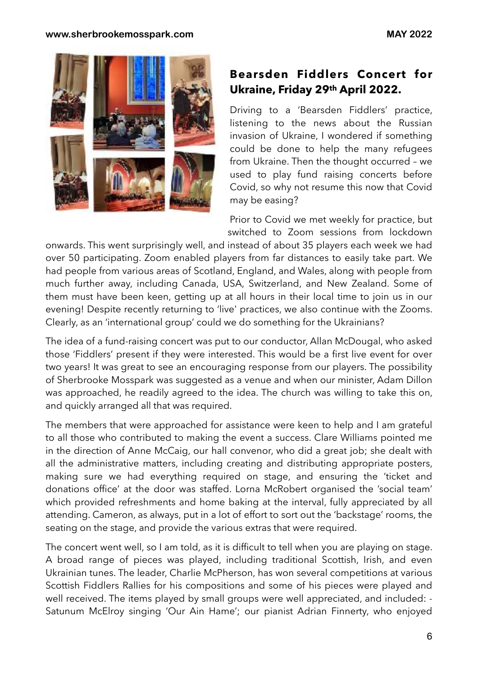

## **Bearsden Fiddlers Concert for Ukraine, Friday 29th April 2022.**

Driving to a 'Bearsden Fiddlers' practice, listening to the news about the Russian invasion of Ukraine, I wondered if something could be done to help the many refugees from Ukraine. Then the thought occurred – we used to play fund raising concerts before Covid, so why not resume this now that Covid may be easing?

Prior to Covid we met weekly for practice, but switched to Zoom sessions from lockdown

onwards. This went surprisingly well, and instead of about 35 players each week we had over 50 participating. Zoom enabled players from far distances to easily take part. We had people from various areas of Scotland, England, and Wales, along with people from much further away, including Canada, USA, Switzerland, and New Zealand. Some of them must have been keen, getting up at all hours in their local time to join us in our evening! Despite recently returning to 'live' practices, we also continue with the Zooms. Clearly, as an 'international group' could we do something for the Ukrainians?

The idea of a fund-raising concert was put to our conductor, Allan McDougal, who asked those 'Fiddlers' present if they were interested. This would be a first live event for over two years! It was great to see an encouraging response from our players. The possibility of Sherbrooke Mosspark was suggested as a venue and when our minister, Adam Dillon was approached, he readily agreed to the idea. The church was willing to take this on, and quickly arranged all that was required.

The members that were approached for assistance were keen to help and I am grateful to all those who contributed to making the event a success. Clare Williams pointed me in the direction of Anne McCaig, our hall convenor, who did a great job; she dealt with all the administrative matters, including creating and distributing appropriate posters, making sure we had everything required on stage, and ensuring the 'ticket and donations office' at the door was staffed. Lorna McRobert organised the 'social team' which provided refreshments and home baking at the interval, fully appreciated by all attending. Cameron, as always, put in a lot of effort to sort out the 'backstage' rooms, the seating on the stage, and provide the various extras that were required.

The concert went well, so I am told, as it is difficult to tell when you are playing on stage. A broad range of pieces was played, including traditional Scottish, Irish, and even Ukrainian tunes. The leader, Charlie McPherson, has won several competitions at various Scottish Fiddlers Rallies for his compositions and some of his pieces were played and well received. The items played by small groups were well appreciated, and included: - Satunum McElroy singing 'Our Ain Hame'; our pianist Adrian Finnerty, who enjoyed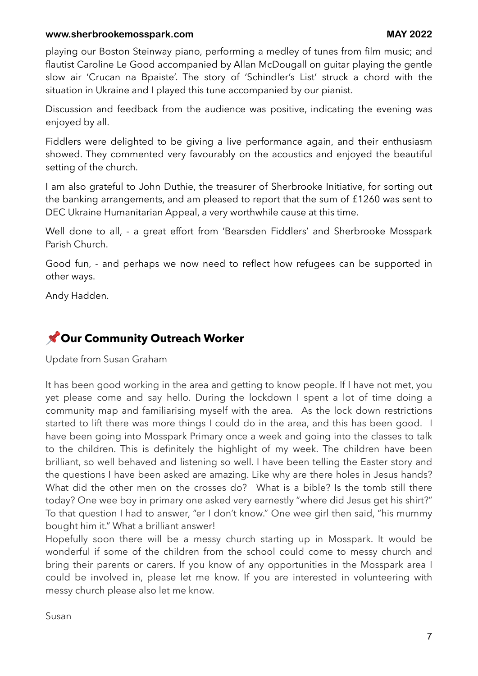#### **www.sherbrookemosspark.com MAY 2022**

playing our Boston Steinway piano, performing a medley of tunes from film music; and flautist Caroline Le Good accompanied by Allan McDougall on guitar playing the gentle slow air 'Crucan na Bpaiste'. The story of 'Schindler's List' struck a chord with the situation in Ukraine and I played this tune accompanied by our pianist.

Discussion and feedback from the audience was positive, indicating the evening was enjoyed by all.

Fiddlers were delighted to be giving a live performance again, and their enthusiasm showed. They commented very favourably on the acoustics and enjoyed the beautiful setting of the church.

I am also grateful to John Duthie, the treasurer of Sherbrooke Initiative, for sorting out the banking arrangements, and am pleased to report that the sum of £1260 was sent to DEC Ukraine Humanitarian Appeal, a very worthwhile cause at this time.

Well done to all, - a great effort from 'Bearsden Fiddlers' and Sherbrooke Mosspark Parish Church.

Good fun, - and perhaps we now need to reflect how refugees can be supported in other ways.

Andy Hadden.

## **Our Community Outreach Worker**

Update from Susan Graham

It has been good working in the area and getting to know people. If I have not met, you yet please come and say hello. During the lockdown I spent a lot of time doing a community map and familiarising myself with the area. As the lock down restrictions started to lift there was more things I could do in the area, and this has been good. I have been going into Mosspark Primary once a week and going into the classes to talk to the children. This is definitely the highlight of my week. The children have been brilliant, so well behaved and listening so well. I have been telling the Easter story and the questions I have been asked are amazing. Like why are there holes in Jesus hands? What did the other men on the crosses do? What is a bible? Is the tomb still there today? One wee boy in primary one asked very earnestly "where did Jesus get his shirt?" To that question I had to answer, "er I don't know." One wee girl then said, "his mummy bought him it." What a brilliant answer!

Hopefully soon there will be a messy church starting up in Mosspark. It would be wonderful if some of the children from the school could come to messy church and bring their parents or carers. If you know of any opportunities in the Mosspark area I could be involved in, please let me know. If you are interested in volunteering with messy church please also let me know.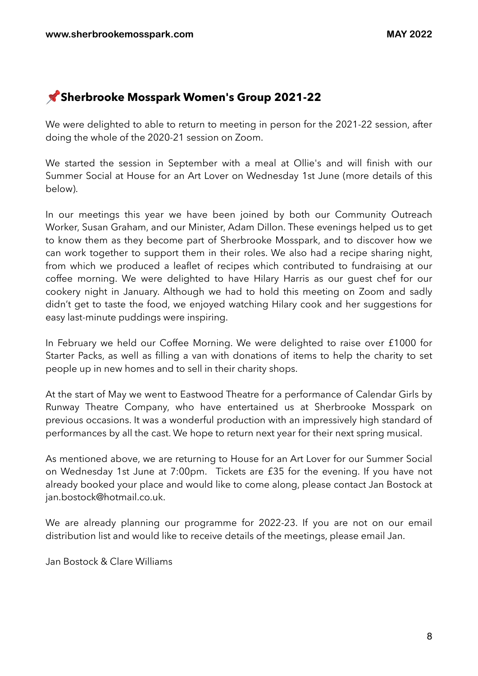# **Sherbrooke Mosspark Women's Group 2021-22**

We were delighted to able to return to meeting in person for the 2021-22 session, after doing the whole of the 2020-21 session on Zoom.

We started the session in September with a meal at Ollie's and will finish with our Summer Social at House for an Art Lover on Wednesday 1st June (more details of this below).

In our meetings this year we have been joined by both our Community Outreach Worker, Susan Graham, and our Minister, Adam Dillon. These evenings helped us to get to know them as they become part of Sherbrooke Mosspark, and to discover how we can work together to support them in their roles. We also had a recipe sharing night, from which we produced a leaflet of recipes which contributed to fundraising at our coffee morning. We were delighted to have Hilary Harris as our guest chef for our cookery night in January. Although we had to hold this meeting on Zoom and sadly didn't get to taste the food, we enjoyed watching Hilary cook and her suggestions for easy last-minute puddings were inspiring.

In February we held our Coffee Morning. We were delighted to raise over £1000 for Starter Packs, as well as filling a van with donations of items to help the charity to set people up in new homes and to sell in their charity shops.

At the start of May we went to Eastwood Theatre for a performance of Calendar Girls by Runway Theatre Company, who have entertained us at Sherbrooke Mosspark on previous occasions. It was a wonderful production with an impressively high standard of performances by all the cast. We hope to return next year for their next spring musical.

As mentioned above, we are returning to House for an Art Lover for our Summer Social on Wednesday 1st June at 7:00pm. Tickets are £35 for the evening. If you have not already booked your place and would like to come along, please contact Jan Bostock at [jan.bostock@hotmail.co.uk.](mailto:jan.bostock@hotmail.co.uk)

We are already planning our programme for 2022-23. If you are not on our email distribution list and would like to receive details of the meetings, please email Jan.

Jan Bostock & Clare Williams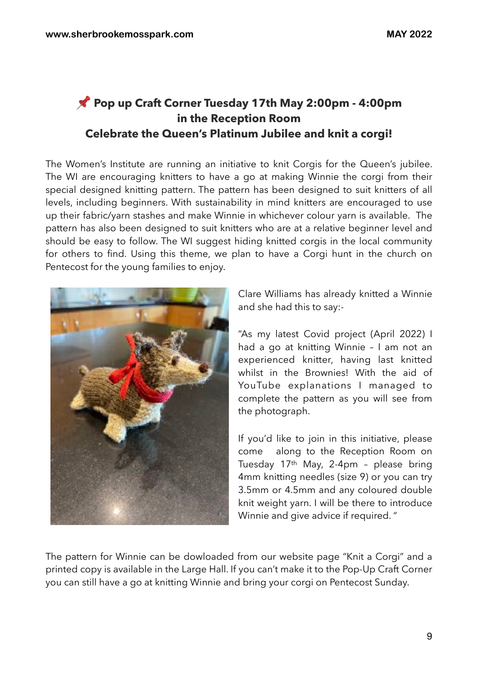# **Pop up Craft Corner Tuesday 17th May 2:00pm - 4:00pm in the Reception Room Celebrate the Queen's Platinum Jubilee and knit a corgi!**

The Women's Institute are running an initiative to knit Corgis for the Queen's jubilee. The WI are encouraging knitters to have a go at making Winnie the corgi from their special designed knitting pattern. The pattern has been designed to suit knitters of all levels, including beginners. With sustainability in mind knitters are encouraged to use up their fabric/yarn stashes and make Winnie in whichever colour yarn is available. The pattern has also been designed to suit knitters who are at a relative beginner level and should be easy to follow. The WI suggest hiding knitted corgis in the local community for others to find. Using this theme, we plan to have a Corgi hunt in the church on Pentecost for the young families to enjoy.



Clare Williams has already knitted a Winnie and she had this to say:-

"As my latest Covid project (April 2022) I had a go at knitting Winnie – I am not an experienced knitter, having last knitted whilst in the Brownies! With the aid of YouTube explanations I managed to complete the pattern as you will see from the photograph.

If you'd like to join in this initiative, please come along to the Reception Room on Tuesday 17th May, 2-4pm – please bring 4mm knitting needles (size 9) or you can try 3.5mm or 4.5mm and any coloured double knit weight yarn. I will be there to introduce Winnie and give advice if required. "

The pattern for Winnie can be dowloaded from our website page "Knit a Corgi" and a printed copy is available in the Large Hall. If you can't make it to the Pop-Up Craft Corner you can still have a go at knitting Winnie and bring your corgi on Pentecost Sunday.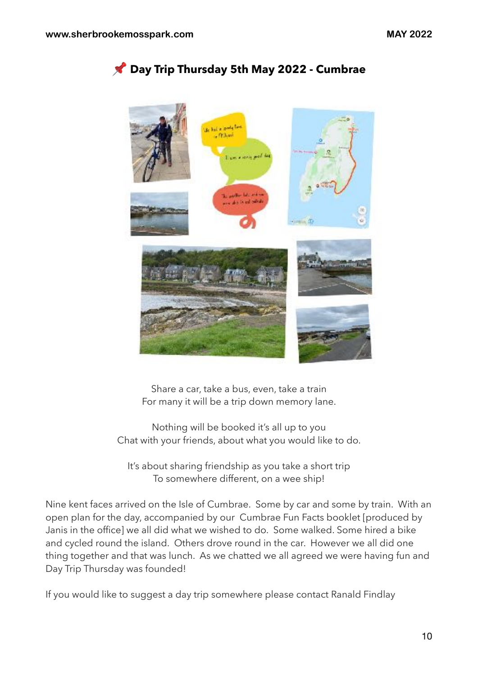

 **Day Trip Thursday 5th May 2022 - Cumbrae**

Share a car, take a bus, even, take a train For many it will be a trip down memory lane.

Nothing will be booked it's all up to you Chat with your friends, about what you would like to do.

It's about sharing friendship as you take a short trip To somewhere different, on a wee ship!

Nine kent faces arrived on the Isle of Cumbrae. Some by car and some by train. With an open plan for the day, accompanied by our Cumbrae Fun Facts booklet [produced by Janis in the office] we all did what we wished to do. Some walked. Some hired a bike and cycled round the island. Others drove round in the car. However we all did one thing together and that was lunch. As we chatted we all agreed we were having fun and Day Trip Thursday was founded!

If you would like to suggest a day trip somewhere please contact Ranald Findlay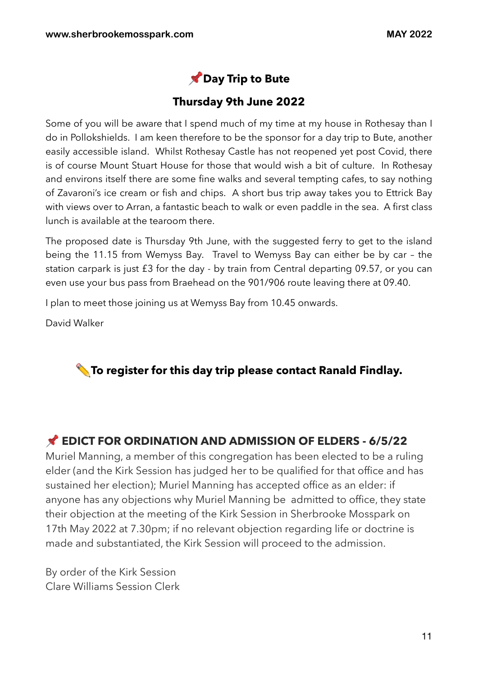

#### **Thursday 9th June 2022**

Some of you will be aware that I spend much of my time at my house in Rothesay than I do in Pollokshields. I am keen therefore to be the sponsor for a day trip to Bute, another easily accessible island. Whilst Rothesay Castle has not reopened yet post Covid, there is of course Mount Stuart House for those that would wish a bit of culture. In Rothesay and environs itself there are some fine walks and several tempting cafes, to say nothing of Zavaroni's ice cream or fish and chips. A short bus trip away takes you to Ettrick Bay with views over to Arran, a fantastic beach to walk or even paddle in the sea. A first class lunch is available at the tearoom there.

The proposed date is Thursday 9th June, with the suggested ferry to get to the island being the 11.15 from Wemyss Bay. Travel to Wemyss Bay can either be by car – the station carpark is just £3 for the day - by train from Central departing 09.57, or you can even use your bus pass from Braehead on the 901/906 route leaving there at 09.40.

I plan to meet those joining us at Wemyss Bay from 10.45 onwards.

David Walker



#### **EDICT FOR ORDINATION AND ADMISSION OF ELDERS - 6/5/22**

Muriel Manning, a member of this congregation has been elected to be a ruling elder (and the Kirk Session has judged her to be qualified for that office and has sustained her election); Muriel Manning has accepted office as an elder: if anyone has any objections why Muriel Manning be admitted to office, they state their objection at the meeting of the Kirk Session in Sherbrooke Mosspark on 17th May 2022 at 7.30pm; if no relevant objection regarding life or doctrine is made and substantiated, the Kirk Session will proceed to the admission.

By order of the Kirk Session Clare Williams Session Clerk